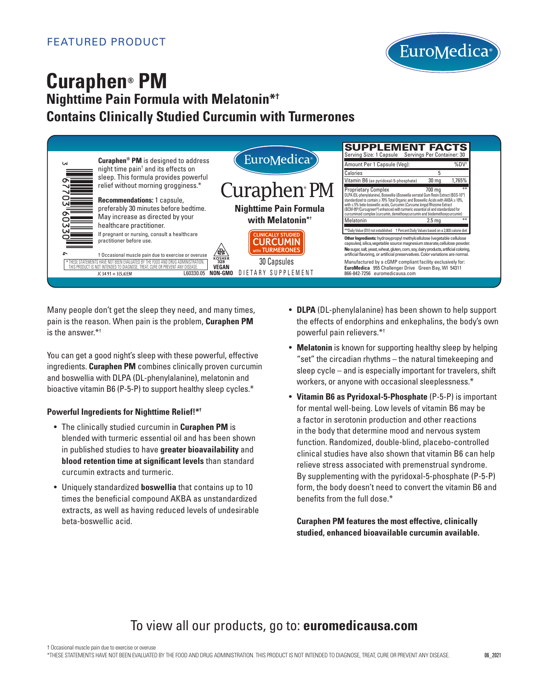

# **Curaphen® PM Nighttime Pain Formula with Melatonin\*† Contains Clinically Studied Curcumin with Turmerones**



Many people don't get the sleep they need, and many times, pain is the reason. When pain is the problem, **Curaphen PM** is the answer $*$ <sup>†</sup>

You can get a good night's sleep with these powerful, effective ingredients. **Curaphen PM** combines clinically proven curcumin and boswellia with DLPA (DL-phenylalanine), melatonin and bioactive vitamin B6 (P-5-P) to support healthy sleep cycles.\*

#### **Powerful Ingredients for Nighttime Relief!\*†**

- The clinically studied curcumin in **Curaphen PM** is blended with turmeric essential oil and has been shown in published studies to have **greater bioavailability** and **blood retention time at significant levels** than standard curcumin extracts and turmeric.
- Uniquely standardized **boswellia** that contains up to 10 times the beneficial compound AKBA as unstandardized extracts, as well as having reduced levels of undesirable beta-boswellic acid.
- **DLPA** (DL-phenylalanine) has been shown to help support the effects of endorphins and enkephalins, the body's own powerful pain relievers.\*†
- **Melatonin** is known for supporting healthy sleep by helping "set" the circadian rhythms – the natural timekeeping and sleep cycle – and is especially important for travelers, shift workers, or anyone with occasional sleeplessness.\*
- **Vitamin B6 as Pyridoxal-5-Phosphate** (P-5-P) is important for mental well-being. Low levels of vitamin B6 may be a factor in serotonin production and other reactions in the body that determine mood and nervous system function. Randomized, double-blind, placebo-controlled clinical studies have also shown that vitamin B6 can help relieve stress associated with premenstrual syndrome. By supplementing with the pyridoxal-5-phosphate (P-5-P) form, the body doesn't need to convert the vitamin B6 and benefits from the full dose.\*

 **Curaphen PM features the most effective, clinically studied, enhanced bioavailable curcumin available.**

## To view all our products, go to: **euromedicausa.com**